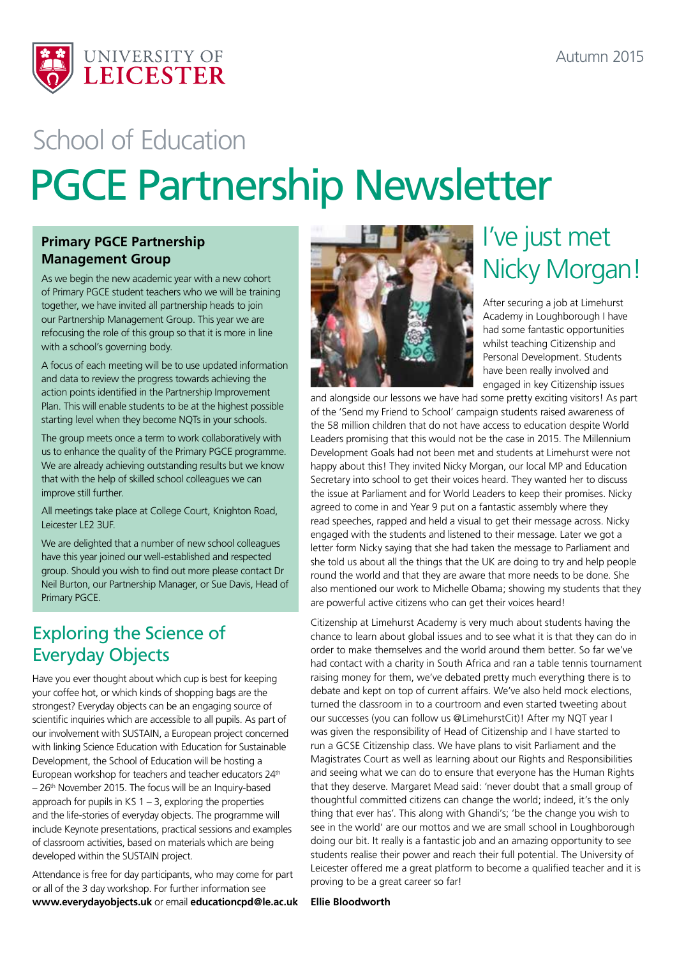

# PGCE Partnership Newsletter School of Education

### **Primary PGCE Partnership Management Group**

As we begin the new academic year with a new cohort of Primary PGCE student teachers who we will be training together, we have invited all partnership heads to join our Partnership Management Group. This year we are refocusing the role of this group so that it is more in line with a school's governing body.

A focus of each meeting will be to use updated information and data to review the progress towards achieving the action points identified in the Partnership Improvement Plan. This will enable students to be at the highest possible starting level when they become NQTs in your schools.

The group meets once a term to work collaboratively with us to enhance the quality of the Primary PGCE programme. We are already achieving outstanding results but we know that with the help of skilled school colleagues we can improve still further.

All meetings take place at College Court, Knighton Road, Leicester LE2 3UF.

We are delighted that a number of new school colleagues have this year joined our well-established and respected group. Should you wish to find out more please contact Dr Neil Burton, our Partnership Manager, or Sue Davis, Head of Primary PGCE.

### Exploring the Science of Everyday Objects

Have you ever thought about which cup is best for keeping your coffee hot, or which kinds of shopping bags are the strongest? Everyday objects can be an engaging source of scientific inquiries which are accessible to all pupils. As part of our involvement with SUSTAIN, a European project concerned with linking Science Education with Education for Sustainable Development, the School of Education will be hosting a European workshop for teachers and teacher educators 24<sup>th</sup> – 26th November 2015. The focus will be an Inquiry-based approach for pupils in KS  $1 - 3$ , exploring the properties and the life-stories of everyday objects. The programme will include Keynote presentations, practical sessions and examples of classroom activities, based on materials which are being developed within the SUSTAIN project.

Attendance is free for day participants, who may come for part or all of the 3 day workshop. For further information see **www.everydayobjects.uk** or email **educationcpd@le.ac.uk**



## I've just met Nicky Morgan!

After securing a job at Limehurst Academy in Loughborough I have had some fantastic opportunities whilst teaching Citizenship and Personal Development. Students have been really involved and engaged in key Citizenship issues

and alongside our lessons we have had some pretty exciting visitors! As part of the 'Send my Friend to School' campaign students raised awareness of the 58 million children that do not have access to education despite World Leaders promising that this would not be the case in 2015. The Millennium Development Goals had not been met and students at Limehurst were not happy about this! They invited Nicky Morgan, our local MP and Education Secretary into school to get their voices heard. They wanted her to discuss the issue at Parliament and for World Leaders to keep their promises. Nicky agreed to come in and Year 9 put on a fantastic assembly where they read speeches, rapped and held a visual to get their message across. Nicky engaged with the students and listened to their message. Later we got a letter form Nicky saying that she had taken the message to Parliament and she told us about all the things that the UK are doing to try and help people round the world and that they are aware that more needs to be done. She also mentioned our work to Michelle Obama; showing my students that they are powerful active citizens who can get their voices heard!

Citizenship at Limehurst Academy is very much about students having the chance to learn about global issues and to see what it is that they can do in order to make themselves and the world around them better. So far we've had contact with a charity in South Africa and ran a table tennis tournament raising money for them, we've debated pretty much everything there is to debate and kept on top of current affairs. We've also held mock elections, turned the classroom in to a courtroom and even started tweeting about our successes (you can follow us @LimehurstCit)! After my NQT year I was given the responsibility of Head of Citizenship and I have started to run a GCSE Citizenship class. We have plans to visit Parliament and the Magistrates Court as well as learning about our Rights and Responsibilities and seeing what we can do to ensure that everyone has the Human Rights that they deserve. Margaret Mead said: 'never doubt that a small group of thoughtful committed citizens can change the world; indeed, it's the only thing that ever has'. This along with Ghandi's; 'be the change you wish to see in the world' are our mottos and we are small school in Loughborough doing our bit. It really is a fantastic job and an amazing opportunity to see students realise their power and reach their full potential. The University of Leicester offered me a great platform to become a qualified teacher and it is proving to be a great career so far!

**Ellie Bloodworth**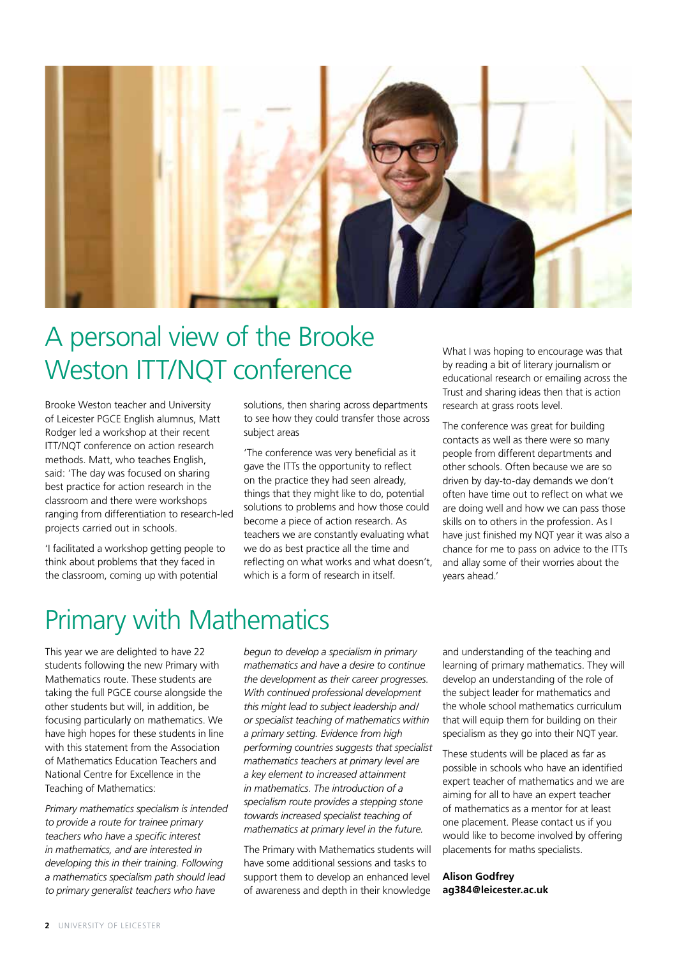

### A personal view of the Brooke Weston ITT/NQT conference

Brooke Weston teacher and University of Leicester PGCE English alumnus, Matt Rodger led a workshop at their recent ITT/NQT conference on action research methods. Matt, who teaches English, said: 'The day was focused on sharing best practice for action research in the classroom and there were workshops ranging from differentiation to research-led projects carried out in schools.

'I facilitated a workshop getting people to think about problems that they faced in the classroom, coming up with potential

solutions, then sharing across departments to see how they could transfer those across subject areas

'The conference was very beneficial as it gave the ITTs the opportunity to reflect on the practice they had seen already, things that they might like to do, potential solutions to problems and how those could become a piece of action research. As teachers we are constantly evaluating what we do as best practice all the time and reflecting on what works and what doesn't, which is a form of research in itself.

What I was hoping to encourage was that by reading a bit of literary journalism or educational research or emailing across the Trust and sharing ideas then that is action research at grass roots level.

The conference was great for building contacts as well as there were so many people from different departments and other schools. Often because we are so driven by day-to-day demands we don't often have time out to reflect on what we are doing well and how we can pass those skills on to others in the profession. As I have just finished my NQT year it was also a chance for me to pass on advice to the ITTs and allay some of their worries about the years ahead.'

### Primary with Mathematics

This year we are delighted to have 22 students following the new Primary with Mathematics route. These students are taking the full PGCE course alongside the other students but will, in addition, be focusing particularly on mathematics. We have high hopes for these students in line with this statement from the Association of Mathematics Education Teachers and National Centre for Excellence in the Teaching of Mathematics:

*Primary mathematics specialism is intended to provide a route for trainee primary teachers who have a specific interest in mathematics, and are interested in developing this in their training. Following a mathematics specialism path should lead to primary generalist teachers who have* 

*begun to develop a specialism in primary mathematics and have a desire to continue the development as their career progresses. With continued professional development this might lead to subject leadership and/ or specialist teaching of mathematics within a primary setting. Evidence from high performing countries suggests that specialist mathematics teachers at primary level are a key element to increased attainment in mathematics. The introduction of a specialism route provides a stepping stone towards increased specialist teaching of mathematics at primary level in the future.* 

The Primary with Mathematics students will have some additional sessions and tasks to support them to develop an enhanced level of awareness and depth in their knowledge

and understanding of the teaching and learning of primary mathematics. They will develop an understanding of the role of the subject leader for mathematics and the whole school mathematics curriculum that will equip them for building on their specialism as they go into their NQT year.

These students will be placed as far as possible in schools who have an identified expert teacher of mathematics and we are aiming for all to have an expert teacher of mathematics as a mentor for at least one placement. Please contact us if you would like to become involved by offering placements for maths specialists.

#### **Alison Godfrey ag384@leicester.ac.uk**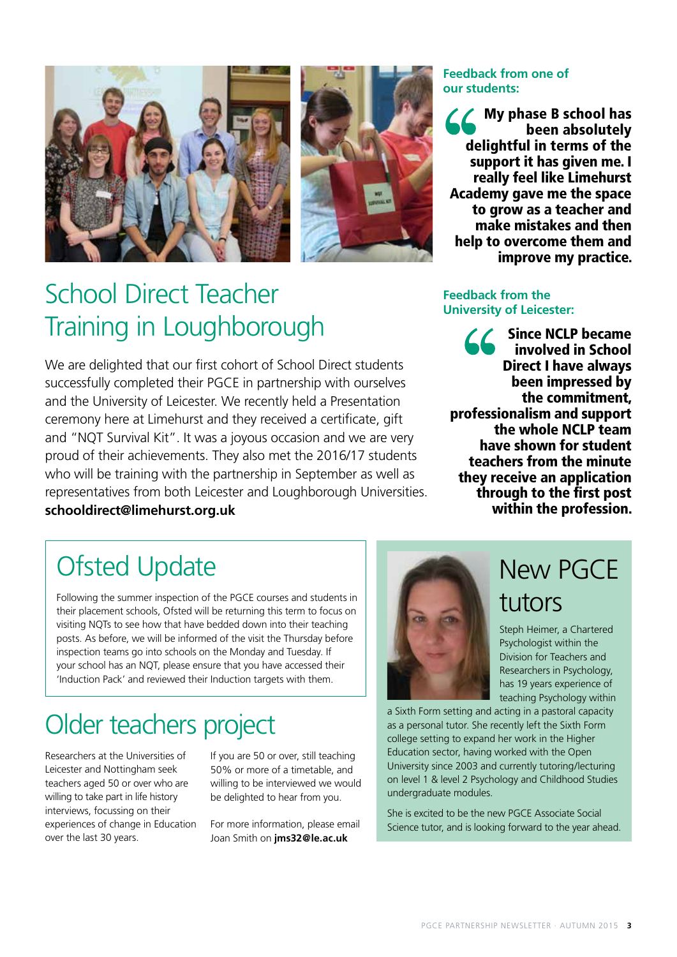



### School Direct Teacher Training in Loughborough

We are delighted that our first cohort of School Direct students successfully completed their PGCE in partnership with ourselves and the University of Leicester. We recently held a Presentation ceremony here at Limehurst and they received a certificate, gift and "NQT Survival Kit". It was a joyous occasion and we are very proud of their achievements. They also met the 2016/17 students who will be training with the partnership in September as well as representatives from both Leicester and Loughborough Universities. **schooldirect@limehurst.org.uk**

### **Feedback from one of our students:**

My phase B school has been absolutely delightful in terms of the support it has given me. I really feel like Limehurst Academy gave me the space to grow as a teacher and make mistakes and then help to overcome them and improve my practice.

#### **Feedback from the University of Leicester:**

Since NCLP became involved in School Direct I have always been impressed by the commitment, professionalism and support the whole NCLP team have shown for student teachers from the minute they receive an application through to the first post within the profession.

### Ofsted Update

Following the summer inspection of the PGCE courses and students in their placement schools, Ofsted will be returning this term to focus on visiting NQTs to see how that have bedded down into their teaching posts. As before, we will be informed of the visit the Thursday before inspection teams go into schools on the Monday and Tuesday. If your school has an NQT, please ensure that you have accessed their 'Induction Pack' and reviewed their Induction targets with them.

### Older teachers project

Researchers at the Universities of Leicester and Nottingham seek teachers aged 50 or over who are willing to take part in life history interviews, focussing on their experiences of change in Education over the last 30 years.

If you are 50 or over, still teaching 50% or more of a timetable, and willing to be interviewed we would be delighted to hear from you.

For more information, please email Joan Smith on **jms32@le.ac.uk**



New PGCE tutors

Steph Heimer, a Chartered Psychologist within the Division for Teachers and Researchers in Psychology, has 19 years experience of teaching Psychology within

a Sixth Form setting and acting in a pastoral capacity as a personal tutor. She recently left the Sixth Form college setting to expand her work in the Higher Education sector, having worked with the Open University since 2003 and currently tutoring/lecturing on level 1 & level 2 Psychology and Childhood Studies undergraduate modules.

She is excited to be the new PGCE Associate Social Science tutor, and is looking forward to the year ahead.